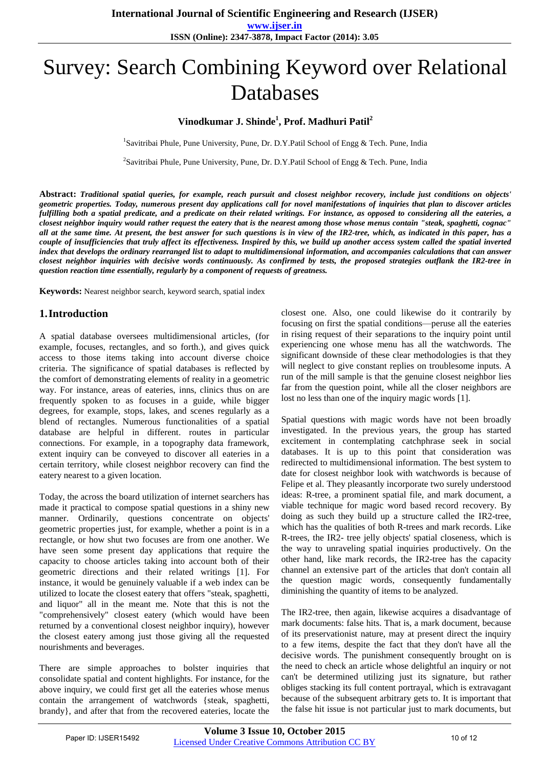# Survey: Search Combining Keyword over Relational Databases

### **Vinodkumar J. Shinde<sup>1</sup> , Prof. Madhuri Patil<sup>2</sup>**

<sup>1</sup>Savitribai Phule, Pune University, Pune, Dr. D.Y.Patil School of Engg & Tech. Pune, India

<sup>2</sup>Savitribai Phule, Pune University, Pune, Dr. D.Y.Patil School of Engg & Tech. Pune, India

**Abstract:** *Traditional spatial queries, for example, reach pursuit and closest neighbor recovery, include just conditions on objects' geometric properties. Today, numerous present day applications call for novel manifestations of inquiries that plan to discover articles fulfilling both a spatial predicate, and a predicate on their related writings. For instance, as opposed to considering all the eateries, a closest neighbor inquiry would rather request the eatery that is the nearest among those whose menus contain "steak, spaghetti, cognac" all at the same time. At present, the best answer for such questions is in view of the IR2-tree, which, as indicated in this paper, has a couple of insufficiencies that truly affect its effectiveness. Inspired by this, we build up another access system called the spatial inverted index that develops the ordinary rearranged list to adapt to multidimensional information, and accompanies calculations that can answer closest neighbor inquiries with decisive words continuously. As confirmed by tests, the proposed strategies outflank the IR2-tree in question reaction time essentially, regularly by a component of requests of greatness.*

**Keywords:** Nearest neighbor search, keyword search, spatial index

### **1.Introduction**

A spatial database oversees multidimensional articles, (for example, focuses, rectangles, and so forth.), and gives quick access to those items taking into account diverse choice criteria. The significance of spatial databases is reflected by the comfort of demonstrating elements of reality in a geometric way. For instance, areas of eateries, inns, clinics thus on are frequently spoken to as focuses in a guide, while bigger degrees, for example, stops, lakes, and scenes regularly as a blend of rectangles. Numerous functionalities of a spatial database are helpful in different. routes in particular connections. For example, in a topography data framework, extent inquiry can be conveyed to discover all eateries in a certain territory, while closest neighbor recovery can find the eatery nearest to a given location.

Today, the across the board utilization of internet searchers has made it practical to compose spatial questions in a shiny new manner. Ordinarily, questions concentrate on objects' geometric properties just, for example, whether a point is in a rectangle, or how shut two focuses are from one another. We have seen some present day applications that require the capacity to choose articles taking into account both of their geometric directions and their related writings [1]. For instance, it would be genuinely valuable if a web index can be utilized to locate the closest eatery that offers "steak, spaghetti, and liquor" all in the meant me. Note that this is not the "comprehensively" closest eatery (which would have been returned by a conventional closest neighbor inquiry), however the closest eatery among just those giving all the requested nourishments and beverages.

There are simple approaches to bolster inquiries that consolidate spatial and content highlights. For instance, for the above inquiry, we could first get all the eateries whose menus contain the arrangement of watchwords {steak, spaghetti, brandy}, and after that from the recovered eateries, locate the

closest one. Also, one could likewise do it contrarily by focusing on first the spatial conditions—peruse all the eateries in rising request of their separations to the inquiry point until experiencing one whose menu has all the watchwords. The significant downside of these clear methodologies is that they will neglect to give constant replies on troublesome inputs. A run of the mill sample is that the genuine closest neighbor lies far from the question point, while all the closer neighbors are lost no less than one of the inquiry magic words [1].

Spatial questions with magic words have not been broadly investigated. In the previous years, the group has started excitement in contemplating catchphrase seek in social databases. It is up to this point that consideration was redirected to multidimensional information. The best system to date for closest neighbor look with watchwords is because of Felipe et al. They pleasantly incorporate two surely understood ideas: R-tree, a prominent spatial file, and mark document, a viable technique for magic word based record recovery. By doing as such they build up a structure called the IR2-tree, which has the qualities of both R-trees and mark records. Like R-trees, the IR2- tree jelly objects' spatial closeness, which is the way to unraveling spatial inquiries productively. On the other hand, like mark records, the IR2-tree has the capacity channel an extensive part of the articles that don't contain all the question magic words, consequently fundamentally diminishing the quantity of items to be analyzed.

The IR2-tree, then again, likewise acquires a disadvantage of mark documents: false hits. That is, a mark document, because of its preservationist nature, may at present direct the inquiry to a few items, despite the fact that they don't have all the decisive words. The punishment consequently brought on is the need to check an article whose delightful an inquiry or not can't be determined utilizing just its signature, but rather obliges stacking its full content portrayal, which is extravagant because of the subsequent arbitrary gets to. It is important that the false hit issue is not particular just to mark documents, but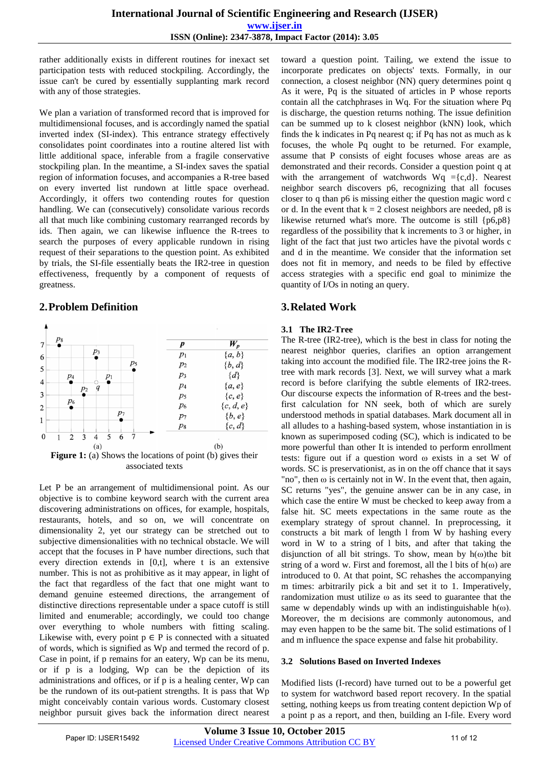rather additionally exists in different routines for inexact set participation tests with reduced stockpiling. Accordingly, the issue can't be cured by essentially supplanting mark record with any of those strategies.

We plan a variation of transformed record that is improved for multidimensional focuses, and is accordingly named the spatial inverted index (SI-index). This entrance strategy effectively consolidates point coordinates into a routine altered list with little additional space, inferable from a fragile conservative stockpiling plan. In the meantime, a SI-index saves the spatial region of information focuses, and accompanies a R-tree based on every inverted list rundown at little space overhead. Accordingly, it offers two contending routes for question handling. We can (consecutively) consolidate various records all that much like combining customary rearranged records by ids. Then again, we can likewise influence the R-trees to search the purposes of every applicable rundown in rising request of their separations to the question point. As exhibited by trials, the SI-file essentially beats the IR2-tree in question effectiveness, frequently by a component of requests of greatness.

## **2.Problem Definition**



associated texts

Let P be an arrangement of multidimensional point. As our objective is to combine keyword search with the current area discovering administrations on offices, for example, hospitals, restaurants, hotels, and so on, we will concentrate on dimensionality 2, yet our strategy can be stretched out to subjective dimensionalities with no technical obstacle. We will accept that the focuses in P have number directions, such that every direction extends in [0,t], where t is an extensive number. This is not as prohibitive as it may appear, in light of the fact that regardless of the fact that one might want to demand genuine esteemed directions, the arrangement of distinctive directions representable under a space cutoff is still limited and enumerable; accordingly, we could too change over everything to whole numbers with fitting scaling. Likewise with, every point  $p \in P$  is connected with a situated of words, which is signified as Wp and termed the record of p. Case in point, if p remains for an eatery, Wp can be its menu, or if p is a lodging, Wp can be the depiction of its administrations and offices, or if p is a healing center, Wp can be the rundown of its out-patient strengths. It is pass that Wp might conceivably contain various words. Customary closest neighbor pursuit gives back the information direct nearest

toward a question point. Tailing, we extend the issue to incorporate predicates on objects' texts. Formally, in our connection, a closest neighbor (NN) query determines point q As it were, Pq is the situated of articles in P whose reports contain all the catchphrases in Wq. For the situation where Pq is discharge, the question returns nothing. The issue definition can be summed up to k closest neighbor (kNN) look, which finds the k indicates in Pq nearest q; if Pq has not as much as k focuses, the whole Pq ought to be returned. For example, assume that P consists of eight focuses whose areas are as demonstrated and their records. Consider a question point q at with the arrangement of watchwords  $Wq = {c,d}$ . Nearest neighbor search discovers p6, recognizing that all focuses closer to q than p6 is missing either the question magic word c or d. In the event that  $k = 2$  closest neighbors are needed, p8 is likewise returned what's more. The outcome is still {p6,p8} regardless of the possibility that k increments to 3 or higher, in light of the fact that just two articles have the pivotal words c and d in the meantime. We consider that the information set does not fit in memory, and needs to be filed by effective access strategies with a specific end goal to minimize the quantity of I/Os in noting an query.

## **3.Related Work**

#### **3.1 The IR2-Tree**

The R-tree (IR2-tree), which is the best in class for noting the nearest neighbor queries, clarifies an option arrangement taking into account the modified file. The IR2-tree joins the Rtree with mark records [3]. Next, we will survey what a mark record is before clarifying the subtle elements of IR2-trees. Our discourse expects the information of R-trees and the bestfirst calculation for NN seek, both of which are surely understood methods in spatial databases. Mark document all in all alludes to a hashing-based system, whose instantiation in is known as superimposed coding (SC), which is indicated to be more powerful than other It is intended to perform enrollment tests: figure out if a question word ω exists in a set W of words. SC is preservationist, as in on the off chance that it says "no", then  $\omega$  is certainly not in W. In the event that, then again, SC returns "yes", the genuine answer can be in any case, in which case the entire W must be checked to keep away from a false hit. SC meets expectations in the same route as the exemplary strategy of sprout channel. In preprocessing, it constructs a bit mark of length l from W by hashing every word in W to a string of l bits, and after that taking the disjunction of all bit strings. To show, mean by  $h(\omega)$ the bit string of a word w. First and foremost, all the l bits of  $h(\omega)$  are introduced to 0. At that point, SC rehashes the accompanying m times: arbitrarily pick a bit and set it to 1. Imperatively, randomization must utilize  $\omega$  as its seed to guarantee that the same w dependably winds up with an indistinguishable  $h(\omega)$ . Moreover, the m decisions are commonly autonomous, and may even happen to be the same bit. The solid estimations of l and m influence the space expense and false hit probability.

#### **3.2 Solutions Based on Inverted Indexes**

Modified lists (I-record) have turned out to be a powerful get to system for watchword based report recovery. In the spatial setting, nothing keeps us from treating content depiction Wp of a point p as a report, and then, building an I-file. Every word